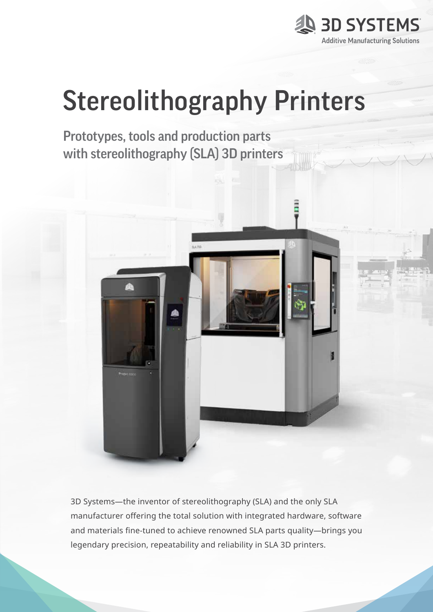

# Stereolithography Printers

Prototypes, tools and production parts with stereolithography (SLA) 3D printers



3D Systems—the inventor of stereolithography (SLA) and the only SLA manufacturer offering the total solution with integrated hardware, software and materials fine-tuned to achieve renowned SLA parts quality—brings you legendary precision, repeatability and reliability in SLA 3D printers.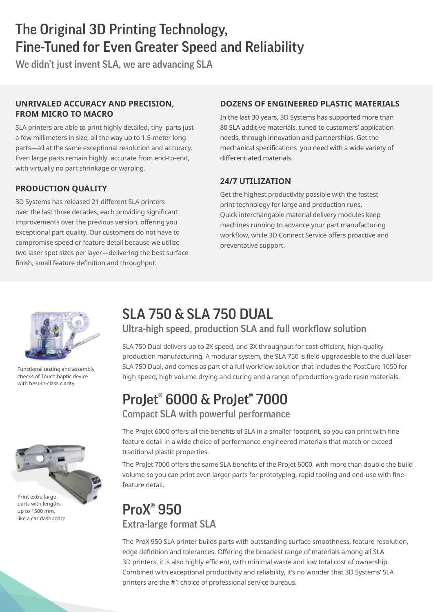# The Original 3D Printing Technology, Fine-Tuned for Even Greater Speed and Reliability

We didn't just invent SLA, we are advancing SLA

#### **UNRIVALED ACCURACY AND PRECISION, FROM MICRO TO MACRO**

SLA printers are able to print highly detailed, tiny parts just a few millimeters in size, all the way up to 1.5-meter long parts—all at the same exceptional resolution and accuracy. Even large parts remain highly accurate from end-to-end, with virtually no part shrinkage or warping.

### **PRODUCTION QUALITY**

3D Systems has released 21 different SLA printers over the last three decades, each providing significant improvements over the previous version, offering you exceptional part quality. Our customers do not have to compromise speed or feature detail because we utilize two laser spot sizes per layer—delivering the best surface finish, small feature definition and throughput.

### **DOZENS OF ENGINEERED PLASTIC MATERIALS**

In the last 30 years, 3D Systems has supported more than 80 SLA additive materials, tuned to customers' application needs, through innovation and partnerships. Get the mechanical specifications you need with a wide variety of differentiated materials.

#### **24/7 UTILIZATION**

Get the highest productivity possible with the fastest print technology for large and production runs. Quick interchangable material delivery modules keep machines running to advance your part manufacturing workflow, while 3D Connect Service offers proactive and preventative support.



Functional testing and assembly checks of Touch haptic device with best-in-class clarity



up to 1500 mm, like a car dashboard

## SLA 750 & SLA 750 DUAL

Ultra-high speed, production SLA and full workflow solution

SLA 750 Dual delivers up to 2X speed, and 3X throughput for cost-efficient, high-quality production manufacturing. A modular system, the SLA 750 is field-upgradeable to the dual-laser SLA 750 Dual, and comes as part of a full workflow solution that includes the PostCure 1050 for high speed, high volume drying and curing and a range of production-grade resin materials.

### ProJet® 6000 & ProJet® 7000 Compact SLA with powerful performance

The ProJet 6000 offers all the benefits of SLA in a smaller footprint, so you can print with fine feature detail in a wide choice of performance-engineered materials that match or exceed traditional plastic properties.

The ProJet 7000 offers the same SLA benefits of the ProJet 6000, with more than double the build volume so you can print even larger parts for prototyping, rapid tooling and end-use with finefeature detail.

### ProX® 950 Extra-large format SLA

The ProX 950 SLA printer builds parts with outstanding surface smoothness, feature resolution, edge definition and tolerances. Offering the broadest range of materials among all SLA 3D printers, it is also highly efficient, with minimal waste and low total cost of ownership. Combined with exceptional productivity and reliability, it's no wonder that 3D Systems' SLA printers are the #1 choice of professional service bureaus.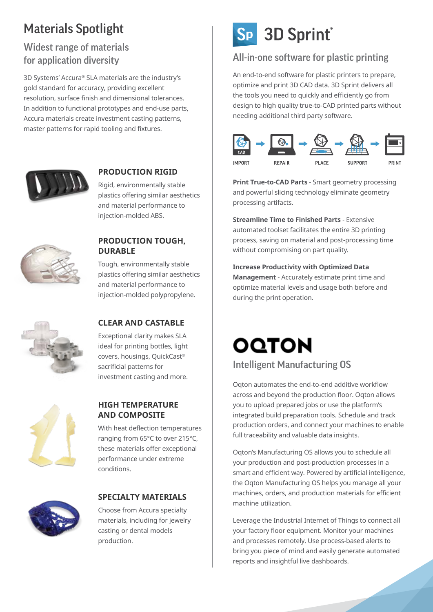# Materials Spotlight

### Widest range of materials for application diversity

3D Systems' Accura® SLA materials are the industry's gold standard for accuracy, providing excellent resolution, surface finish and dimensional tolerances. In addition to functional prototypes and end-use parts, Accura materials create investment casting patterns, master patterns for rapid tooling and fixtures.



### **PRODUCTION RIGID**

Rigid, environmentally stable plastics offering similar aesthetics and material performance to injection-molded ABS.



#### **PRODUCTION TOUGH, DURABLE**

Tough, environmentally stable plastics offering similar aesthetics and material performance to injection-molded polypropylene.



### **CLEAR AND CASTABLE**

Exceptional clarity makes SLA ideal for printing bottles, light covers, housings, QuickCast® sacrificial patterns for investment casting and more.



#### **HIGH TEMPERATURE AND COMPOSITE**

With heat deflection temperatures ranging from 65°C to over 215°C, these materials offer exceptional performance under extreme conditions.



### **SPECIALTY MATERIALS**

Choose from Accura specialty materials, including for jewelry casting or dental models production.

# Sp 3D Sprint®

### All-in-one software for plastic printing

An end-to-end software for plastic printers to prepare, optimize and print 3D CAD data. 3D Sprint delivers all the tools you need to quickly and efficiently go from design to high quality true-to-CAD printed parts without needing additional third party software.



**Print True-to-CAD Parts** - Smart geometry processing and powerful slicing technology eliminate geometry processing artifacts.

**Streamline Time to Finished Parts** - Extensive automated toolset facilitates the entire 3D printing process, saving on material and post-processing time without compromising on part quality.

**Increase Productivity with Optimized Data Management** - Accurately estimate print time and optimize material levels and usage both before and during the print operation.

# **OQTON** Intelligent Manufacturing OS

Oqton automates the end-to-end additive workflow across and beyond the production floor. Oqton allows you to upload prepared jobs or use the platform's integrated build preparation tools. Schedule and track production orders, and connect your machines to enable full traceability and valuable data insights.

Oqton's Manufacturing OS allows you to schedule all your production and post-production processes in a smart and efficient way. Powered by artificial intelligence, the Oqton Manufacturing OS helps you manage all your machines, orders, and production materials for efficient machine utilization.

Leverage the Industrial Internet of Things to connect all your factory floor equipment. Monitor your machines and processes remotely. Use process-based alerts to bring you piece of mind and easily generate automated reports and insightful live dashboards.